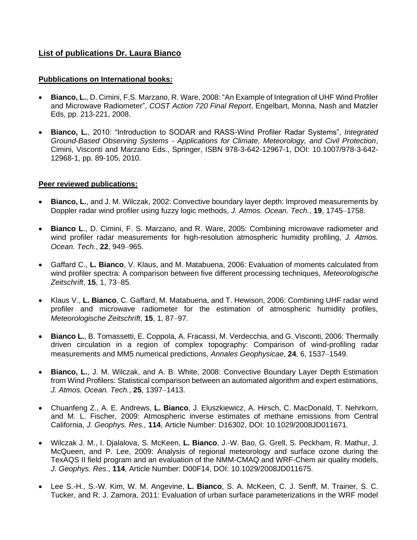## **List of publications Dr. Laura Bianco**

## **Pubblications on International books:**

- **Bianco, L.**, D. Cimini, F.S. Marzano, R. Ware, 2008: "An Example of Integration of UHF Wind Profiler and Microwave Radiometer", *COST Action 720 Final Report*, Engelbart, Monna, Nash and Matzler Eds, pp. 213-221, 2008.
- **Bianco, L.**, 2010: "Introduction to SODAR and RASS-Wind Profiler Radar Systems", *Integrated Ground-Based Observing Systems - Applications for Climate, Meteorology, and Civil Protection*, [Cimini,](http://www.springerlink.com/content/?Editor=Domenico+Cimini) [Visconti](http://www.springerlink.com/content/?Editor=Guido+Visconti) and [Marzano](http://www.springerlink.com/content/?Editor=Frank+S.+Marzano) Eds., Springer, ISBN 978-3-642-12967-1, DOI: 10.1007/978-3-642- 12968-1, pp. 89-105, 2010.

## **Peer reviewed publications:**

- **Bianco, L.**, and J. M. Wilczak, 2002: Convective boundary layer depth: Improved measurements by Doppler radar wind profiler using fuzzy logic methods, *J. Atmos. Ocean. Tech.*, **19**, 1745–1758.
- **Bianco L**., D. Cimini, F. S. Marzano, and R. Ware, 2005: Combining microwave radiometer and wind profiler radar measurements for high-resolution atmospheric humidity profiling, *J. Atmos. Ocean. Tech.*, **22**, 949–965.
- Gaffard C., **L. Bianco**, V. Klaus, and M. Matabuena, 2006: Evaluation of moments calculated from wind profiler spectra: A comparison between five different processing techniques, *Meteorologische Zeitschrift*, **15**, 1, 73–85.
- Klaus V., **L. Bianco**, C. Gaffard, M. Matabuena, and T. Hewison, 2006: Combining UHF radar wind profiler and microwave radiometer for the estimation of atmospheric humidity profiles, *Meteorologische Zeitschrift*, **15**, 1, 87–97.
- **Bianco L.**, B. Tomassetti, E. Coppola, A. Fracassi, M. Verdecchia, and G. Visconti, 2006: Thermally driven circulation in a region of complex topography: Comparison of wind-profiling radar measurements and MM5 numerical predictions, *Annales Geophysicae*, **24**, 6, 1537–1549.
- **Bianco, L.**, J. M. Wilczak, and A. B. White, 2008: Convective Boundary Layer Depth Estimation from Wind Profilers: Statistical comparison between an automated algorithm and expert estimations, *J. Atmos. Ocean. Tech.*, **25**, 1397–1413.
- Chuanfeng Z., A. E. Andrews, **L. Bianco**, J. Eluszkiewicz, A. Hirsch, C. MacDonald, T. Nehrkorn, and M. L. Fischer, 2009: Atmospheric inverse estimates of methane emissions from Central California, *J. Geophys. Res.,* **114**, Article Number: D16302, DOI: 10.1029/2008JD011671*.*
- Wilczak J. M., I. Djalalova, S. McKeen, **L. Bianco**, J.-W. Bao, G. Grell, S. Peckham, R. Mathur, J. McQueen, and P. Lee, 2009: Analysis of regional meteorology and surface ozone during the TexAQS II field program and an evaluation of the NMM-CMAQ and WRF-Chem air quality models, *J. Geophys. Res*., **114**, Article Number: D00F14, DOI: 10.1029/2008JD011675.
- Lee S.-H., S.-W. Kim, W. M. Angevine, **L. Bianco**, S. A. McKeen, C. J. Senff, M. Trainer, S. C. Tucker, and R. J. Zamora, 2011: Evaluation of urban surface parameterizations in the WRF model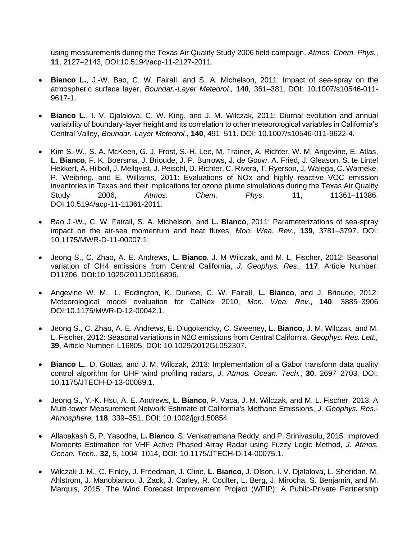using measurements during the Texas Air Quality Study 2006 field campaign, *Atmos. Chem. Phys.*, **11**, 2127–2143, DOI:10.5194/acp-11-2127-2011.

- **Bianco L.**, J.-W. Bao, C. W. Fairall, and S. A. Michelson, 2011: Impact of sea-spray on the atmospheric surface layer, *Boundar.-Layer Meteorol.,* **140**, 361–381, DOI: 10.1007/s10546-011- 9617-1.
- **Bianco L.**, I. V. Djalalova, C. W. King, and J. M. Wilczak, 2011: Diurnal evolution and annual variability of boundary-layer height and its correlation to other meteorological variables in California's Central Valley, *Boundar.-Layer Meteorol.*, **140**, 491–511. DOI: 10.1007/s10546-011-9622-4.
- Kim S.-W., S. A. McKeen, G. J. Frost, S.-H. Lee, M. Trainer, A. Richter, W. M. Angevine, E. Atlas, **L. Bianco**, F. K. Boersma, J. Brioude, J. P. Burrows, J. de Gouw, A. Fried, J. Gleason, S. te Lintel Hekkert, A. Hilboll, J. Mellqvist, J. Peischl, D. Richter, C. Rivera, T. Ryerson, J. Walega, C. Warneke, P. Weibring, and E. Williams, 2011: Evaluations of NOx and highly reactive VOC emission inventories in Texas and their implications for ozone plume simulations during the Texas Air Quality Study 2006, *Atmos. Chem. Phys*. **11**, 11361–11386. DOI:10.5194/acp-11-11361-2011.
- Bao J.-W., C. W. Fairall, S. A. Michelson, and **L. Bianco**, 2011: Parameterizations of sea-spray impact on the air-sea momentum and heat fluxes, *Mon. Wea. Rev.,* **139**, 3781–3797. DOI: 10.1175/MWR-D-11-00007.1.
- Jeong S., C. Zhao, A. E. Andrews, **L. Bianco**, J. M Wilczak, and M. L. Fischer, 2012: Seasonal variation of CH4 emissions from Central California, *J. Geophys. Res*., **117**, Article Number: D11306, DOI:10.1029/2011JD016896.
- Angevine W. M., L. Eddington, K. Durkee, C. W. Fairall, **L. Bianco**, and J. Brioude, 2012: Meteorological model evaluation for CalNex 2010, *Mon. Wea. Rev*., **140**, 3885–3906 DOI:10.1175/MWR-D-12-00042.1*.*
- Jeong S., C. Zhao, A. E. Andrews, E. Dlugokencky, C. Sweeney, **L. Bianco**, J. M. Wilczak, and M. L. Fischer, 2012: Seasonal variations in N2O emissions from Central California, *Geophys. Res. Lett.,*  **39**, Article Number: L16805, DOI: 10.1029/2012GL052307.
- **Bianco L.**, D. Gottas, and J. M. Wilczak, 2013: Implementation of a Gabor transform data quality control algorithm for UHF wind profiling radars, *J. Atmos. Ocean. Tech.*, **30**, 2697–2703, DOI: [10.1175/JTECH-D-13-00089.1.](http://dx.doi.org/10.1175/JTECH-D-13-00089.1)
- Jeong S., Y.-K. Hsu, A. E. Andrews, **L. Bianco**, P. Vaca, J. M. Wilczak, and M. L. Fischer, 2013: A Multi-tower Measurement Network Estimate of California's Methane Emissions, *J. Geophys. Res.- Atmosphere,* **118**, 339–351, DOI: 10.1002/jgrd.50854*.*
- Allabakash S, P. Yasodha, **L. Bianco**, S. Venkatramana Reddy, and P. Srinivasulu, 2015: Improved Moments Estimation for VHF Active Phased Array Radar using Fuzzy Logic Method, *J. Atmos. Ocean. Tech.*, **32**, 5, 1004–1014, DOI: 10.1175/JTECH-D-14-00075.1.
- Wilczak J. M., C. Finley, J. Freedman, J. Cline, **L. Bianco**, J. Olson, I. V. Djalalova, L. Sheridan, M. Ahlstrom, J. Manobianco, J. Zack, J. Carley, R. Coulter, L. Berg, J. Mirocha, S. Benjamin, and M. Marquis, 2015: The Wind Forecast Improvement Project (WFIP): A Public-Private Partnership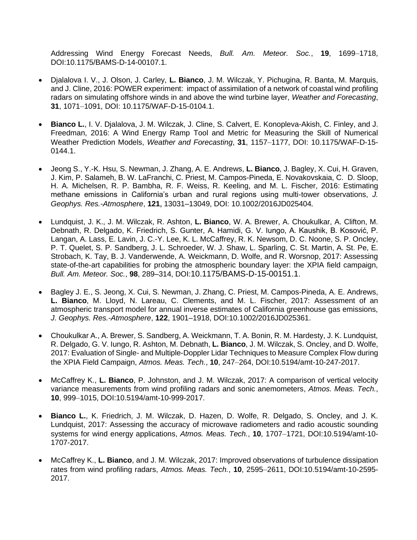Addressing Wind Energy Forecast Needs, *Bull. Am. Meteor. Soc.*, **19**, 1699–1718, DOI:10.1175/BAMS-D-14-00107.1.

- Djalalova I. V., J. Olson, J. Carley, **L. Bianco**, J. M. Wilczak, Y. Pichugina, R. Banta, M. Marquis, and J. Cline, 2016: POWER experiment: impact of assimilation of a network of coastal wind profiling radars on simulating offshore winds in and above the wind turbine layer, *Weather and Forecasting*, **31**, 1071–1091, DOI: 10.1175/WAF-D-15-0104.1.
- **Bianco L.**, I. V. Djalalova, J. M. Wilczak, J. Cline, S. Calvert, E. Konopleva-Akish, C. Finley, and J. Freedman, 2016: A Wind Energy Ramp Tool and Metric for Measuring the Skill of Numerical Weather Prediction Models, *Weather and Forecasting*, **31**, 1157–1177, DOI: 10.1175/WAF-D-15- 0144.1.
- Jeong S., Y.-K. Hsu, S. Newman, J. Zhang, A. E. Andrews, **L. Bianco**, J. Bagley, X. Cui, H. Graven, J. Kim, P. Salameh, B. W. LaFranchi, C. Priest, M. Campos-Pineda, E. Novakovskaia, C. D. Sloop, H. A. Michelsen, R. P. Bambha, R. F. Weiss, R. Keeling, and M. L. Fischer, 2016: Estimating methane emissions in California's urban and rural regions using multi-tower observations, *J. Geophys. Res.-Atmosphere*, **121***,* 13031–13049, DOI: [10.1002/2016JD025404](http://dx.doi.org/10.1002/2016JD025404)*.*
- Lundquist, J. K., J. M. Wilczak, R. Ashton, **L. Bianco**, W. A. Brewer, A. Choukulkar, A. Clifton, M. Debnath, R. Delgado, K. Friedrich, S. Gunter, A. Hamidi, G. V. Iungo, A. Kaushik, B. Kosović, P. Langan, A. Lass, E. Lavin, J. C.-Y. Lee, K. L. McCaffrey, R. K. Newsom, D. C. Noone, S. P. Oncley, P. T. Quelet, S. P. Sandberg, J. L. Schroeder, W. J. Shaw, L. Sparling, C. St. Martin, A. St. Pe, E. Strobach, K. Tay, B. J. Vanderwende, A. Weickmann, D. Wolfe, and R. Worsnop, 2017: Assessing state-of-the-art capabilities for probing the atmospheric boundary layer: the XPIA field campaign, *Bull. Am. Meteor. Soc.*, **98**, 289–314, DOI:[10.1175/BAMS-D-15-00151.1](http://dx.doi.org/10.1175/BAMS-D-15-00151.1).
- Bagley J. E., S. Jeong, X. Cui, S. Newman, J. Zhang, C. Priest, M. Campos-Pineda, A. E. Andrews, **L. Bianco**, M. Lloyd, N. Lareau, C. Clements, and M. L. Fischer, 2017: Assessment of an atmospheric transport model for annual inverse estimates of California greenhouse gas emissions, *J. Geophys. Res.-Atmosphere*, **122**, 1901–1918, DOI:10.1002/2016JD025361.
- Choukulkar A., A. Brewer, S. Sandberg, A. Weickmann, T. A. Bonin, R. M. Hardesty, J. K. Lundquist, R. Delgado, G. V. Iungo, R. Ashton, M. Debnath, **L. Bianco**, J. M. Wilczak, S. Oncley, and D. Wolfe, 2017: Evaluation of Single- and Multiple-Doppler Lidar Techniques to Measure Complex Flow during the XPIA Field Campaign, *Atmos. Meas. Tech.*, **10**, 247–264, DOI[:10.5194/amt-10-247-2017.](http://dx.doi.org/10.5194/amt-10-247-2017)
- McCaffrey K., **L. Bianco**, P. Johnston, and J. M. Wilczak, 2017: [A comparison of vertical velocity](https://www.atmos-meas-tech.net/10/999/2017/)  [variance measurements from wind profiling radars and sonic anemometers,](https://www.atmos-meas-tech.net/10/999/2017/) *Atmos. Meas. Tech.*, **10**, 999–1015, DOI:10.5194/amt-10-999-2017.
- **Bianco L.**, K. Friedrich, J. M. Wilczak, D. Hazen, D. Wolfe, R. Delgado, S. Oncley, and J. K. Lundquist, 2017: Assessing the accuracy of microwave radiometers and radio acoustic sounding systems for wind energy applications, *Atmos. Meas. Tech.*, **10**, 1707–1721, DOI:10.5194/amt-10- 1707-2017.
- McCaffrey K., **L. Bianco**, and J. M. Wilczak, 2017: [Improved observations of turbulence dissipation](https://www.atmos-meas-tech.net/10/2595/2017/)  [rates from wind profiling radars,](https://www.atmos-meas-tech.net/10/2595/2017/) *Atmos. Meas. Tech.*, **10**, 2595–2611, DOI:10.5194/amt-10-2595- 2017.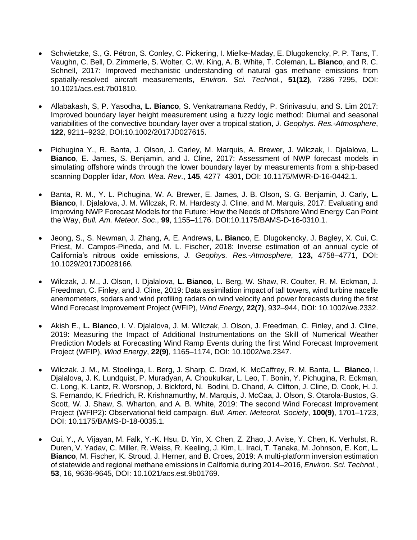- Schwietzke, S., G. Pétron, S. Conley, C. Pickering, I. Mielke-Maday, E. Dlugokencky, P. P. Tans, T. Vaughn, C. Bell, D. Zimmerle, S. Wolter, C. W. King, A. B. White, T. Coleman, **L. Bianco**, and R. C. Schnell, 2017: Improved mechanistic understanding of natural gas methane emissions from spatially-resolved aircraft measurements, *Environ. Sci. Technol.*, **51(12)**, 7286–7295, DOI: 10.1021/acs.est.7b01810.
- Allabakash, S, P. Yasodha, **L. Bianco**, S. Venkatramana Reddy, P. Srinivasulu, and S. Lim 2017: Improved boundary layer height measurement using a fuzzy logic method: Diurnal and seasonal variabilities of the convective boundary layer over a tropical station, *J. Geophys. Res.-Atmosphere*, **122**, 9211–9232, DOI:10.1002/2017JD027615.
- Pichugina Y., R. Banta, J. Olson, J. Carley, M. Marquis, A. Brewer, J. Wilczak, I. Djalalova, **L. Bianco**, E. James, S. Benjamin, and J. Cline, 2017: Assessment of NWP forecast models in simulating offshore winds through the lower boundary layer by measurements from a ship-based scanning Doppler lidar, *Mon. Wea. Rev*., **145**, 4277–4301, DOI: 10.1175/MWR-D-16-0442.1.
- Banta, R. M., Y. L. Pichugina, W. A. Brewer, E. James, J. B. Olson, S. G. Benjamin, J. Carly, **L. Bianco**, I. Djalalova, J. M. Wilczak, R. M. Hardesty J. Cline, and M. Marquis, 2017: Evaluating and Improving NWP Forecast Models for the Future: How the Needs of Offshore Wind Energy Can Point the Way, *Bull. Am. Meteor. Soc*., **99**, 1155–1176. DOI:10.1175/BAMS-D-16-0310.1.
- Jeong, S., S. Newman, J. Zhang, A. E. Andrews, **L. Bianco**, E. Dlugokencky, J. Bagley, X. Cui, C. Priest, M. Campos-Pineda, and M. L. Fischer, 2018: Inverse estimation of an annual cycle of California's nitrous oxide emissions, *J. Geophys. Res.-Atmosphere*, **123,** 4758–4771, DOI: 10.1029/2017JD028166.
- Wilczak, J. M., J. Olson, I. Djalalova, **L. Bianco**, L. Berg, W. Shaw, R. Coulter, R. M. Eckman, J. Freedman, C. Finley, and J. Cline, 2019: Data assimilation impact of tall towers, wind turbine nacelle anemometers, sodars and wind profiling radars on wind velocity and power forecasts during the first Wind Forecast Improvement Project (WFIP), *Wind Energy*, **22(7)**, 932–944, DOI: 10.1002/we.2332.
- Akish E., **L. Bianco**, I. V. Djalalova, J. M. Wilczak, J. Olson, J. Freedman, C. Finley, and J. Cline, 2019: Measuring the Impact of Additional Instrumentations on the Skill of Numerical Weather Prediction Models at Forecasting Wind Ramp Events during the first Wind Forecast Improvement Project (WFIP), *Wind Energy*, **22(9)**, 1165–1174, DOI: 10.1002/we.2347.
- Wilczak. J. M., M. Stoelinga, L. Berg, J. Sharp, C. Draxl, K. McCaffrey, R. M. Banta, **L. Bianco**, I. Djalalova, J. K. Lundquist, P. Muradyan, A. Choukulkar, L. Leo, T. Bonin, Y. Pichugina, R. Eckman, C. Long, K. Lantz, R. Worsnop, J. Bickford, N. Bodini, D. Chand, A. Clifton, J. Cline, D. Cook, H. J. S. Fernando, K. Friedrich, R. Krishnamurthy, M. Marquis, J. McCaa, J. Olson, S. Otarola-Bustos, G. Scott, W. J. Shaw, S. Wharton, and A. B. White, 2019: The second Wind Forecast Improvement Project (WFIP2): Observational field campaign. *Bull. Amer. Meteorol. Society*, **100(9)**, 1701–1723, [DOI: 10.1175/BAMS-D-18-0035.1.](https://doi.org/10.1175/BAMS-D-18-0035.1)
- Cui, Y., A. Vijayan, M. Falk, Y.-K. Hsu, D. Yin, X. Chen, Z. Zhao, J. Avise, Y. Chen, K. Verhulst, R. Duren, V. Yadav, C. Miller, R. Weiss, R. Keeling, J. Kim, L. Iraci, T. Tanaka, M. Johnson, E. Kort, **L. Bianco**, M. Fischer, K. Stroud, J. Herner, and B. Croes, 2019: A multi-platform inversion estimation of statewide and regional methane emissions in California during 2014–2016, *Environ. Sci. Technol.*, **53**, 16, 9636-9645, DOI: 10.1021/acs.est.9b01769.